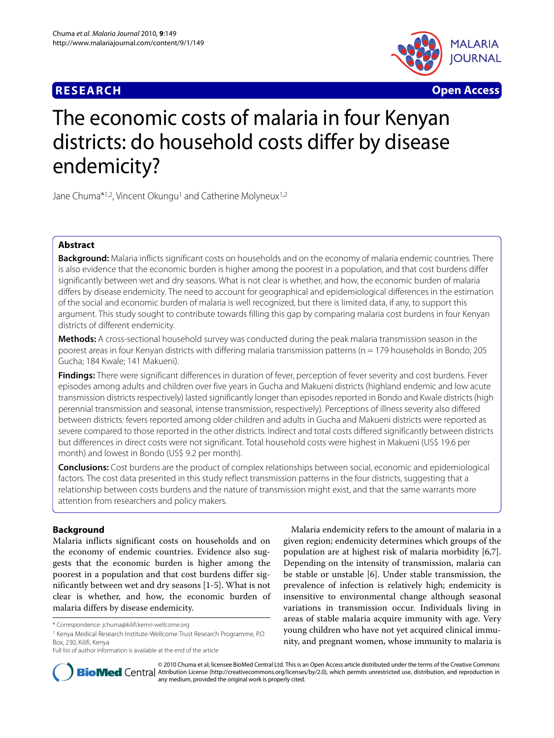## **RESEARCH Open Access**



# The economic costs of malaria in four Kenyan districts: do household costs differ by disease endemicity?

Jane Chuma\*1,2, Vincent Okungu1 and Catherine Molyneux1,2

## **Abstract**

**Background:** Malaria inflicts significant costs on households and on the economy of malaria endemic countries. There is also evidence that the economic burden is higher among the poorest in a population, and that cost burdens differ significantly between wet and dry seasons. What is not clear is whether, and how, the economic burden of malaria differs by disease endemicity. The need to account for geographical and epidemiological differences in the estimation of the social and economic burden of malaria is well recognized, but there is limited data, if any, to support this argument. This study sought to contribute towards filling this gap by comparing malaria cost burdens in four Kenyan districts of different endemicity.

**Methods:** A cross-sectional household survey was conducted during the peak malaria transmission season in the poorest areas in four Kenyan districts with differing malaria transmission patterns (n = 179 households in Bondo; 205 Gucha; 184 Kwale; 141 Makueni).

**Findings:** There were significant differences in duration of fever, perception of fever severity and cost burdens. Fever episodes among adults and children over five years in Gucha and Makueni districts (highland endemic and low acute transmission districts respectively) lasted significantly longer than episodes reported in Bondo and Kwale districts (high perennial transmission and seasonal, intense transmission, respectively). Perceptions of illness severity also differed between districts: fevers reported among older children and adults in Gucha and Makueni districts were reported as severe compared to those reported in the other districts. Indirect and total costs differed significantly between districts but differences in direct costs were not significant. Total household costs were highest in Makueni (US\$ 19.6 per month) and lowest in Bondo (US\$ 9.2 per month).

**Conclusions:** Cost burdens are the product of complex relationships between social, economic and epidemiological factors. The cost data presented in this study reflect transmission patterns in the four districts, suggesting that a relationship between costs burdens and the nature of transmission might exist, and that the same warrants more attention from researchers and policy makers.

## **Background**

Malaria inflicts significant costs on households and on the economy of endemic countries. Evidence also suggests that the economic burden is higher among the poorest in a population and that cost burdens differ significantly between wet and dry seasons [\[1](#page-10-0)-[5\]](#page-10-1). What is not clear is whether, and how, the economic burden of malaria differs by disease endemicity.

Malaria endemicity refers to the amount of malaria in a given region; endemicity determines which groups of the population are at highest risk of malaria morbidity [\[6](#page-10-2)[,7](#page-10-3)]. Depending on the intensity of transmission, malaria can be stable or unstable [[6\]](#page-10-2). Under stable transmission, the prevalence of infection is relatively high; endemicity is insensitive to environmental change although seasonal variations in transmission occur. Individuals living in areas of stable malaria acquire immunity with age. Very young children who have not yet acquired clinical immunity, and pregnant women, whose immunity to malaria is



© 2010 Chuma et al; licensee BioMed Central Ltd. This is an Open Access article distributed under the terms of the Creative Commons **BioMed** Central Attribution License (http://creativecommons.org/licenses/by/2.0), which permits unrestricted use, distribution, and reproduction in any medium, provided the original work is properly cited.

<sup>\*</sup> Correspondence: jchuma@kilifi.kemri-wellcome.org

<sup>1</sup> Kenya Medical Research Institute-Wellcome Trust Research Programme, P.O Box, 230, Kilifi, Kenya

Full list of author information is available at the end of the article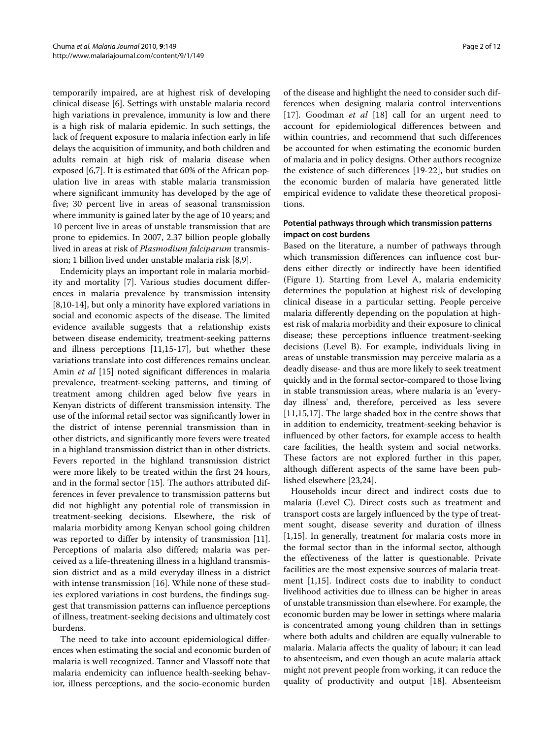temporarily impaired, are at highest risk of developing clinical disease [[6\]](#page-10-2). Settings with unstable malaria record high variations in prevalence, immunity is low and there is a high risk of malaria epidemic. In such settings, the lack of frequent exposure to malaria infection early in life delays the acquisition of immunity, and both children and adults remain at high risk of malaria disease when exposed [[6](#page-10-2),[7\]](#page-10-3). It is estimated that 60% of the African population live in areas with stable malaria transmission where significant immunity has developed by the age of five; 30 percent live in areas of seasonal transmission where immunity is gained later by the age of 10 years; and 10 percent live in areas of unstable transmission that are prone to epidemics. In 2007, 2.37 billion people globally lived in areas at risk of *Plasmodium falciparum* transmission; 1 billion lived under unstable malaria risk [[8,](#page-10-4)[9\]](#page-10-5).

Endemicity plays an important role in malaria morbidity and mortality [\[7](#page-10-3)]. Various studies document differences in malaria prevalence by transmission intensity [[8,](#page-10-4)[10](#page-10-6)[-14](#page-10-7)], but only a minority have explored variations in social and economic aspects of the disease. The limited evidence available suggests that a relationship exists between disease endemicity, treatment-seeking patterns and illness perceptions [[11](#page-10-8),[15-](#page-10-9)[17](#page-10-10)], but whether these variations translate into cost differences remains unclear. Amin *et al* [\[15](#page-10-9)] noted significant differences in malaria prevalence, treatment-seeking patterns, and timing of treatment among children aged below five years in Kenyan districts of different transmission intensity. The use of the informal retail sector was significantly lower in the district of intense perennial transmission than in other districts, and significantly more fevers were treated in a highland transmission district than in other districts. Fevers reported in the highland transmission district were more likely to be treated within the first 24 hours, and in the formal sector [[15\]](#page-10-9). The authors attributed differences in fever prevalence to transmission patterns but did not highlight any potential role of transmission in treatment-seeking decisions. Elsewhere, the risk of malaria morbidity among Kenyan school going children was reported to differ by intensity of transmission [\[11](#page-10-8)]. Perceptions of malaria also differed; malaria was perceived as a life-threatening illness in a highland transmission district and as a mild everyday illness in a district with intense transmission [\[16\]](#page-10-11). While none of these studies explored variations in cost burdens, the findings suggest that transmission patterns can influence perceptions of illness, treatment-seeking decisions and ultimately cost burdens.

The need to take into account epidemiological differences when estimating the social and economic burden of malaria is well recognized. Tanner and Vlassoff note that malaria endemicity can influence health-seeking behavior, illness perceptions, and the socio-economic burden

of the disease and highlight the need to consider such differences when designing malaria control interventions [[17\]](#page-10-10). Goodman *et al* [[18\]](#page-10-12) call for an urgent need to account for epidemiological differences between and within countries, and recommend that such differences be accounted for when estimating the economic burden of malaria and in policy designs. Other authors recognize the existence of such differences [[19](#page-10-13)[-22](#page-10-14)], but studies on the economic burden of malaria have generated little empirical evidence to validate these theoretical propositions.

## **Potential pathways through which transmission patterns impact on cost burdens**

Based on the literature, a number of pathways through which transmission differences can influence cost burdens either directly or indirectly have been identified (Figure [1\)](#page-2-0). Starting from Level A, malaria endemicity determines the population at highest risk of developing clinical disease in a particular setting. People perceive malaria differently depending on the population at highest risk of malaria morbidity and their exposure to clinical disease; these perceptions influence treatment-seeking decisions (Level B). For example, individuals living in areas of unstable transmission may perceive malaria as a deadly disease- and thus are more likely to seek treatment quickly and in the formal sector-compared to those living in stable transmission areas, where malaria is an 'everyday illness' and, therefore, perceived as less severe [[11,](#page-10-8)[15,](#page-10-9)[17\]](#page-10-10). The large shaded box in the centre shows that in addition to endemicity, treatment-seeking behavior is influenced by other factors, for example access to health care facilities, the health system and social networks. These factors are not explored further in this paper, although different aspects of the same have been published elsewhere [\[23](#page-11-0)[,24](#page-11-1)].

Households incur direct and indirect costs due to malaria (Level C). Direct costs such as treatment and transport costs are largely influenced by the type of treatment sought, disease severity and duration of illness [[1,](#page-10-0)[15\]](#page-10-9). In generally, treatment for malaria costs more in the formal sector than in the informal sector, although the effectiveness of the latter is questionable. Private facilities are the most expensive sources of malaria treatment [[1,](#page-10-0)[15\]](#page-10-9). Indirect costs due to inability to conduct livelihood activities due to illness can be higher in areas of unstable transmission than elsewhere. For example, the economic burden may be lower in settings where malaria is concentrated among young children than in settings where both adults and children are equally vulnerable to malaria. Malaria affects the quality of labour; it can lead to absenteeism, and even though an acute malaria attack might not prevent people from working, it can reduce the quality of productivity and output [\[18\]](#page-10-12). Absenteeism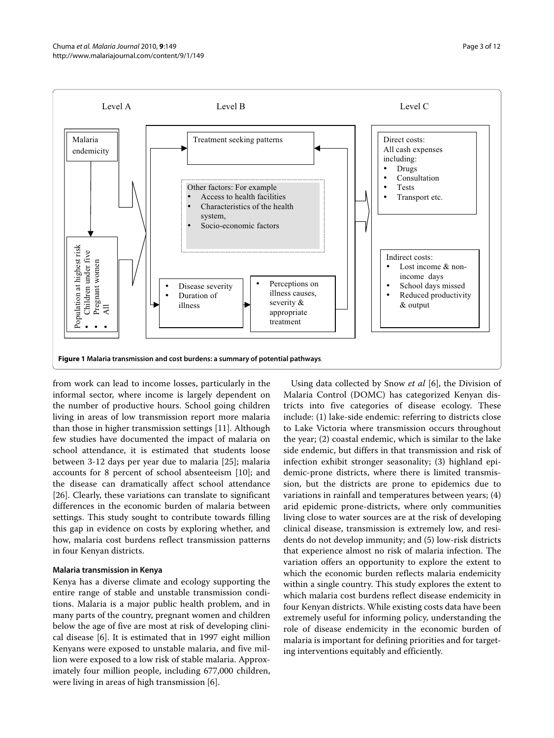<span id="page-2-0"></span>

from work can lead to income losses, particularly in the informal sector, where income is largely dependent on the number of productive hours. School going children living in areas of low transmission report more malaria than those in higher transmission settings [\[11\]](#page-10-8). Although few studies have documented the impact of malaria on school attendance, it is estimated that students loose between 3-12 days per year due to malaria [\[25](#page-11-2)]; malaria accounts for 8 percent of school absenteeism [\[10\]](#page-10-6); and the disease can dramatically affect school attendance [[26\]](#page-11-3). Clearly, these variations can translate to significant differences in the economic burden of malaria between settings. This study sought to contribute towards filling this gap in evidence on costs by exploring whether, and how, malaria cost burdens reflect transmission patterns in four Kenyan districts.

## **Malaria transmission in Kenya**

Kenya has a diverse climate and ecology supporting the entire range of stable and unstable transmission conditions. Malaria is a major public health problem, and in many parts of the country, pregnant women and children below the age of five are most at risk of developing clinical disease [\[6](#page-10-2)]. It is estimated that in 1997 eight million Kenyans were exposed to unstable malaria, and five million were exposed to a low risk of stable malaria. Approximately four million people, including 677,000 children, were living in areas of high transmission [[6\]](#page-10-2).

Using data collected by Snow *et al* [\[6](#page-10-2)], the Division of Malaria Control (DOMC) has categorized Kenyan districts into five categories of disease ecology. These include: (1) lake-side endemic: referring to districts close to Lake Victoria where transmission occurs throughout the year; (2) coastal endemic, which is similar to the lake side endemic, but differs in that transmission and risk of infection exhibit stronger seasonality; (3) highland epidemic-prone districts, where there is limited transmission, but the districts are prone to epidemics due to variations in rainfall and temperatures between years; (4) arid epidemic prone-districts, where only communities living close to water sources are at the risk of developing clinical disease, transmission is extremely low, and residents do not develop immunity; and (5) low-risk districts that experience almost no risk of malaria infection. The variation offers an opportunity to explore the extent to which the economic burden reflects malaria endemicity within a single country. This study explores the extent to which malaria cost burdens reflect disease endemicity in four Kenyan districts. While existing costs data have been extremely useful for informing policy, understanding the role of disease endemicity in the economic burden of malaria is important for defining priorities and for targeting interventions equitably and efficiently.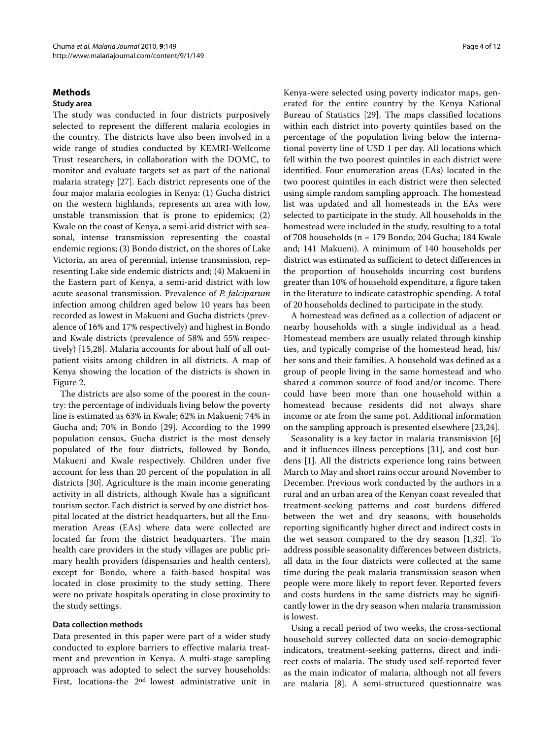### **Methods**

## **Study area**

The study was conducted in four districts purposively selected to represent the different malaria ecologies in the country. The districts have also been involved in a wide range of studies conducted by KEMRI-Wellcome Trust researchers, in collaboration with the DOMC, to monitor and evaluate targets set as part of the national malaria strategy [[27\]](#page-11-4). Each district represents one of the four major malaria ecologies in Kenya: (1) Gucha district on the western highlands, represents an area with low, unstable transmission that is prone to epidemics; (2) Kwale on the coast of Kenya, a semi-arid district with seasonal, intense transmission representing the coastal endemic regions; (3) Bondo district, on the shores of Lake Victoria, an area of perennial, intense transmission, representing Lake side endemic districts and; (4) Makueni in the Eastern part of Kenya, a semi-arid district with low acute seasonal transmission. Prevalence of *P. falciparum* infection among children aged below 10 years has been recorded as lowest in Makueni and Gucha districts (prevalence of 16% and 17% respectively) and highest in Bondo and Kwale districts (prevalence of 58% and 55% respectively) [[15,](#page-10-9)[28\]](#page-11-5). Malaria accounts for about half of all outpatient visits among children in all districts. A map of Kenya showing the location of the districts is shown in Figure [2.](#page-4-0)

The districts are also some of the poorest in the country: the percentage of individuals living below the poverty line is estimated as 63% in Kwale; 62% in Makueni; 74% in Gucha and; 70% in Bondo [[29\]](#page-11-6). According to the 1999 population census, Gucha district is the most densely populated of the four districts, followed by Bondo, Makueni and Kwale respectively. Children under five account for less than 20 percent of the population in all districts [\[30\]](#page-11-7). Agriculture is the main income generating activity in all districts, although Kwale has a significant tourism sector. Each district is served by one district hospital located at the district headquarters, but all the Enumeration Areas (EAs) where data were collected are located far from the district headquarters. The main health care providers in the study villages are public primary health providers (dispensaries and health centers), except for Bondo, where a faith-based hospital was located in close proximity to the study setting. There were no private hospitals operating in close proximity to the study settings.

### **Data collection methods**

Data presented in this paper were part of a wider study conducted to explore barriers to effective malaria treatment and prevention in Kenya. A multi-stage sampling approach was adopted to select the survey households: First, locations-the 2nd lowest administrative unit in

Kenya-were selected using poverty indicator maps, generated for the entire country by the Kenya National Bureau of Statistics [\[29](#page-11-6)]. The maps classified locations within each district into poverty quintiles based on the percentage of the population living below the international poverty line of USD 1 per day. All locations which fell within the two poorest quintiles in each district were identified. Four enumeration areas (EAs) located in the two poorest quintiles in each district were then selected using simple random sampling approach. The homestead list was updated and all homesteads in the EAs were selected to participate in the study. All households in the homestead were included in the study, resulting to a total of 708 households (n = 179 Bondo; 204 Gucha; 184 Kwale and; 141 Makueni). A minimum of 140 households per district was estimated as sufficient to detect differences in the proportion of households incurring cost burdens greater than 10% of household expenditure, a figure taken in the literature to indicate catastrophic spending. A total of 20 households declined to participate in the study.

A homestead was defined as a collection of adjacent or nearby households with a single individual as a head. Homestead members are usually related through kinship ties, and typically comprise of the homestead head, his/ her sons and their families. A household was defined as a group of people living in the same homestead and who shared a common source of food and/or income. There could have been more than one household within a homestead because residents did not always share income or ate from the same pot. Additional information on the sampling approach is presented elsewhere [[23,](#page-11-0)[24\]](#page-11-1).

Seasonality is a key factor in malaria transmission [\[6](#page-10-2)] and it influences illness perceptions [[31\]](#page-11-8), and cost burdens [\[1](#page-10-0)]. All the districts experience long rains between March to May and short rains occur around November to December. Previous work conducted by the authors in a rural and an urban area of the Kenyan coast revealed that treatment-seeking patterns and cost burdens differed between the wet and dry seasons, with households reporting significantly higher direct and indirect costs in the wet season compared to the dry season [\[1](#page-10-0)[,32](#page-11-9)]. To address possible seasonality differences between districts, all data in the four districts were collected at the same time during the peak malaria transmission season when people were more likely to report fever. Reported fevers and costs burdens in the same districts may be significantly lower in the dry season when malaria transmission is lowest.

Using a recall period of two weeks, the cross-sectional household survey collected data on socio-demographic indicators, treatment-seeking patterns, direct and indirect costs of malaria. The study used self-reported fever as the main indicator of malaria, although not all fevers are malaria [\[8](#page-10-4)]. A semi-structured questionnaire was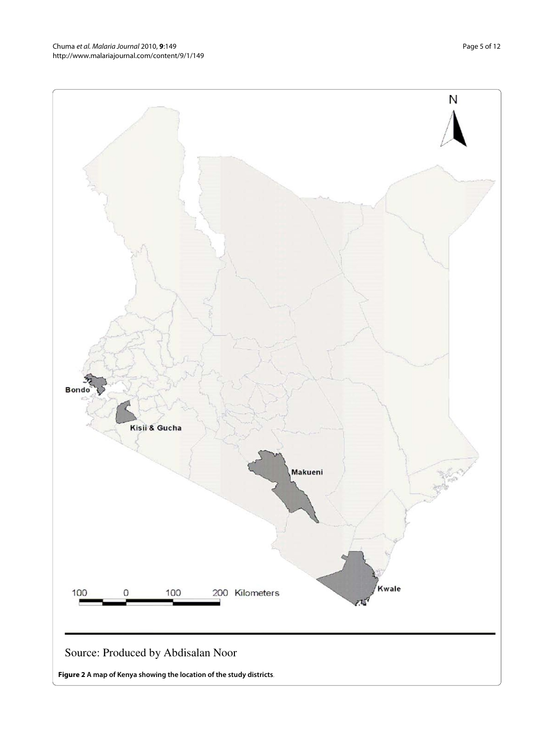Chuma et al. Malaria Journal 2010, **9**:149 http://www.malariajournal.com/content/9/1/149

<span id="page-4-0"></span>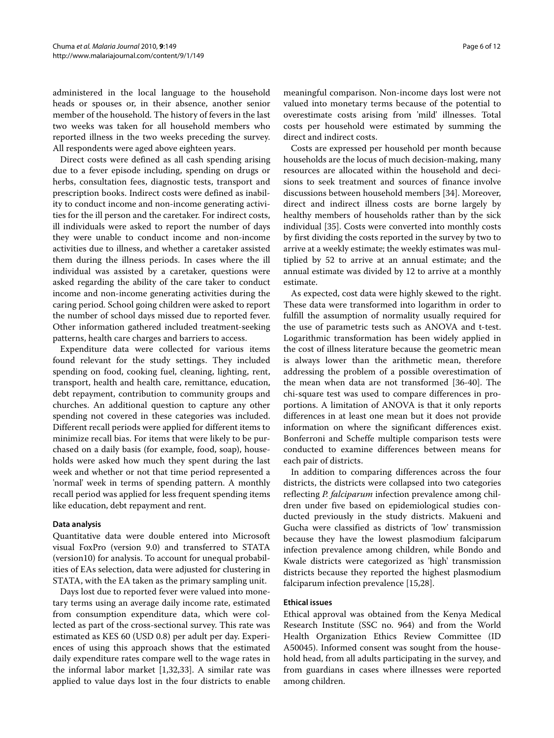administered in the local language to the household heads or spouses or, in their absence, another senior member of the household. The history of fevers in the last two weeks was taken for all household members who reported illness in the two weeks preceding the survey. All respondents were aged above eighteen years.

Direct costs were defined as all cash spending arising due to a fever episode including, spending on drugs or herbs, consultation fees, diagnostic tests, transport and prescription books. Indirect costs were defined as inability to conduct income and non-income generating activities for the ill person and the caretaker. For indirect costs, ill individuals were asked to report the number of days they were unable to conduct income and non-income activities due to illness, and whether a caretaker assisted them during the illness periods. In cases where the ill individual was assisted by a caretaker, questions were asked regarding the ability of the care taker to conduct income and non-income generating activities during the caring period. School going children were asked to report the number of school days missed due to reported fever. Other information gathered included treatment-seeking patterns, health care charges and barriers to access.

Expenditure data were collected for various items found relevant for the study settings. They included spending on food, cooking fuel, cleaning, lighting, rent, transport, health and health care, remittance, education, debt repayment, contribution to community groups and churches. An additional question to capture any other spending not covered in these categories was included. Different recall periods were applied for different items to minimize recall bias. For items that were likely to be purchased on a daily basis (for example, food, soap), households were asked how much they spent during the last week and whether or not that time period represented a 'normal' week in terms of spending pattern. A monthly recall period was applied for less frequent spending items like education, debt repayment and rent.

### **Data analysis**

Quantitative data were double entered into Microsoft visual FoxPro (version 9.0) and transferred to STATA (version10) for analysis. To account for unequal probabilities of EAs selection, data were adjusted for clustering in STATA, with the EA taken as the primary sampling unit.

Days lost due to reported fever were valued into monetary terms using an average daily income rate, estimated from consumption expenditure data, which were collected as part of the cross-sectional survey. This rate was estimated as KES 60 (USD 0.8) per adult per day. Experiences of using this approach shows that the estimated daily expenditure rates compare well to the wage rates in the informal labor market [\[1](#page-10-0)[,32](#page-11-9)[,33](#page-11-10)]. A similar rate was applied to value days lost in the four districts to enable

meaningful comparison. Non-income days lost were not valued into monetary terms because of the potential to overestimate costs arising from 'mild' illnesses. Total costs per household were estimated by summing the direct and indirect costs.

Costs are expressed per household per month because households are the locus of much decision-making, many resources are allocated within the household and decisions to seek treatment and sources of finance involve discussions between household members [[34\]](#page-11-11). Moreover, direct and indirect illness costs are borne largely by healthy members of households rather than by the sick individual [[35\]](#page-11-12). Costs were converted into monthly costs by first dividing the costs reported in the survey by two to arrive at a weekly estimate; the weekly estimates was multiplied by 52 to arrive at an annual estimate; and the annual estimate was divided by 12 to arrive at a monthly estimate.

As expected, cost data were highly skewed to the right. These data were transformed into logarithm in order to fulfill the assumption of normality usually required for the use of parametric tests such as ANOVA and t-test. Logarithmic transformation has been widely applied in the cost of illness literature because the geometric mean is always lower than the arithmetic mean, therefore addressing the problem of a possible overestimation of the mean when data are not transformed [\[36](#page-11-13)-[40\]](#page-11-14). The chi-square test was used to compare differences in proportions. A limitation of ANOVA is that it only reports differences in at least one mean but it does not provide information on where the significant differences exist. Bonferroni and Scheffe multiple comparison tests were conducted to examine differences between means for each pair of districts.

In addition to comparing differences across the four districts, the districts were collapsed into two categories reflecting *P. falciparum* infection prevalence among children under five based on epidemiological studies conducted previously in the study districts. Makueni and Gucha were classified as districts of 'low' transmission because they have the lowest plasmodium falciparum infection prevalence among children, while Bondo and Kwale districts were categorized as 'high' transmission districts because they reported the highest plasmodium falciparum infection prevalence [[15,](#page-10-9)[28\]](#page-11-5).

### **Ethical issues**

Ethical approval was obtained from the Kenya Medical Research Institute (SSC no. 964) and from the World Health Organization Ethics Review Committee (ID A50045). Informed consent was sought from the household head, from all adults participating in the survey, and from guardians in cases where illnesses were reported among children.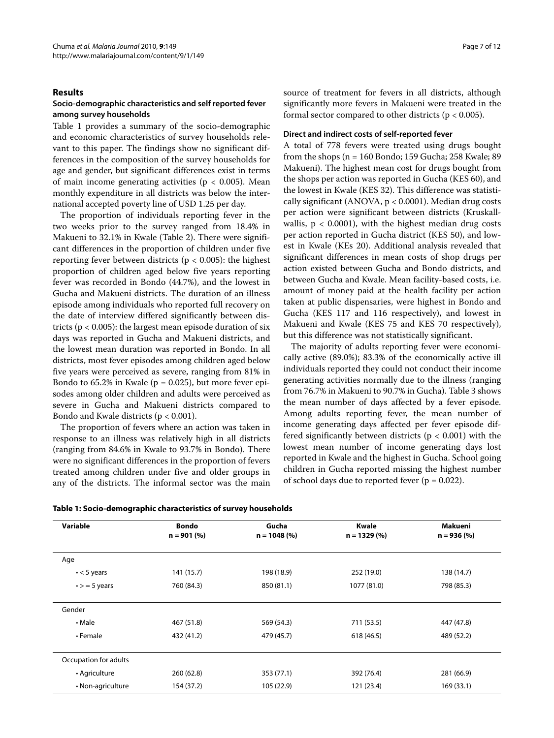#### **Results**

## **Socio-demographic characteristics and self reported fever among survey households**

Table 1 provides a summary of the socio-demographic and economic characteristics of survey households relevant to this paper. The findings show no significant differences in the composition of the survey households for age and gender, but significant differences exist in terms of main income generating activities ( $p < 0.005$ ). Mean monthly expenditure in all districts was below the international accepted poverty line of USD 1.25 per day.

The proportion of individuals reporting fever in the two weeks prior to the survey ranged from 18.4% in Makueni to 32.1% in Kwale (Table 2). There were significant differences in the proportion of children under five reporting fever between districts ( $p < 0.005$ ): the highest proportion of children aged below five years reporting fever was recorded in Bondo (44.7%), and the lowest in Gucha and Makueni districts. The duration of an illness episode among individuals who reported full recovery on the date of interview differed significantly between districts ( $p < 0.005$ ): the largest mean episode duration of six days was reported in Gucha and Makueni districts, and the lowest mean duration was reported in Bondo. In all districts, most fever episodes among children aged below five years were perceived as severe, ranging from 81% in Bondo to  $65.2\%$  in Kwale ( $p = 0.025$ ), but more fever episodes among older children and adults were perceived as severe in Gucha and Makueni districts compared to Bondo and Kwale districts (p < 0.001).

The proportion of fevers where an action was taken in response to an illness was relatively high in all districts (ranging from 84.6% in Kwale to 93.7% in Bondo). There were no significant differences in the proportion of fevers treated among children under five and older groups in any of the districts. The informal sector was the main

**Table 1: Socio-demographic characteristics of survey households**

source of treatment for fevers in all districts, although significantly more fevers in Makueni were treated in the formal sector compared to other districts ( $p < 0.005$ ).

## **Direct and indirect costs of self-reported fever**

A total of 778 fevers were treated using drugs bought from the shops ( $n = 160$  Bondo; 159 Gucha; 258 Kwale; 89 Makueni). The highest mean cost for drugs bought from the shops per action was reported in Gucha (KES 60), and the lowest in Kwale (KES 32). This difference was statistically significant (ANOVA, p < 0.0001). Median drug costs per action were significant between districts (Kruskallwallis,  $p < 0.0001$ ), with the highest median drug costs per action reported in Gucha district (KES 50), and lowest in Kwale (KEs 20). Additional analysis revealed that significant differences in mean costs of shop drugs per action existed between Gucha and Bondo districts, and between Gucha and Kwale. Mean facility-based costs, i.e. amount of money paid at the health facility per action taken at public dispensaries, were highest in Bondo and Gucha (KES 117 and 116 respectively), and lowest in Makueni and Kwale (KES 75 and KES 70 respectively), but this difference was not statistically significant.

The majority of adults reporting fever were economically active (89.0%); 83.3% of the economically active ill individuals reported they could not conduct their income generating activities normally due to the illness (ranging from 76.7% in Makueni to 90.7% in Gucha). Table 3 shows the mean number of days affected by a fever episode. Among adults reporting fever, the mean number of income generating days affected per fever episode differed significantly between districts ( $p < 0.001$ ) with the lowest mean number of income generating days lost reported in Kwale and the highest in Gucha. School going children in Gucha reported missing the highest number of school days due to reported fever ( $p = 0.022$ ).

| Variable              | <b>Bondo</b>  | Gucha          | <b>Kwale</b>   | Makueni       |  |
|-----------------------|---------------|----------------|----------------|---------------|--|
|                       | $n = 901 (%)$ | $n = 1048$ (%) | $n = 1329 (%)$ | $n = 936 (%)$ |  |
| Age                   |               |                |                |               |  |
| $\cdot$ < 5 years     | 141 (15.7)    | 198 (18.9)     | 252 (19.0)     | 138 (14.7)    |  |
| $\cdot$ > = 5 years   | 760 (84.3)    | 850 (81.1)     | 1077 (81.0)    | 798 (85.3)    |  |
| Gender                |               |                |                |               |  |
| $\cdot$ Male          | 467 (51.8)    | 569 (54.3)     | 711 (53.5)     | 447 (47.8)    |  |
| • Female              | 432 (41.2)    | 479 (45.7)     | 618 (46.5)     | 489 (52.2)    |  |
| Occupation for adults |               |                |                |               |  |
| • Agriculture         | 260 (62.8)    | 353 (77.1)     | 392 (76.4)     | 281 (66.9)    |  |
| • Non-agriculture     | 154 (37.2)    | 105 (22.9)     | 121 (23.4)     | 169 (33.1)    |  |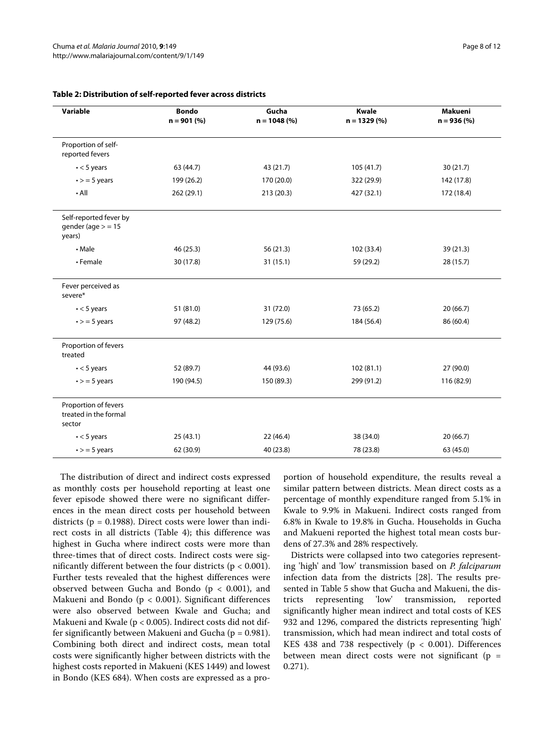| Variable                                                 | <b>Bondo</b><br>$n = 901 (%)$ | Gucha<br>$n = 1048$ (%) | <b>Kwale</b><br>$n = 1329 (%)$ | <b>Makueni</b><br>$n = 936 (%)$ |
|----------------------------------------------------------|-------------------------------|-------------------------|--------------------------------|---------------------------------|
| Proportion of self-<br>reported fevers                   |                               |                         |                                |                                 |
| $\cdot$ < 5 years                                        | 63 (44.7)                     | 43 (21.7)               | 105(41.7)                      | 30(21.7)                        |
| $\cdot$ > = 5 years                                      | 199 (26.2)                    | 170 (20.0)              | 322 (29.9)                     | 142 (17.8)                      |
| $\cdot$ All                                              | 262 (29.1)                    | 213(20.3)               | 427 (32.1)                     | 172 (18.4)                      |
| Self-reported fever by<br>gender (age $>$ = 15<br>years) |                               |                         |                                |                                 |
| • Male                                                   | 46(25.3)                      | 56(21.3)                | 102 (33.4)                     | 39(21.3)                        |
| • Female                                                 | 30 (17.8)                     | 31(15.1)                | 59 (29.2)                      | 28 (15.7)                       |
| Fever perceived as<br>severe*                            |                               |                         |                                |                                 |
| $\cdot$ < 5 years                                        | 51 (81.0)                     | 31 (72.0)               | 73 (65.2)                      | 20(66.7)                        |
| $\cdot$ > = 5 years                                      | 97 (48.2)                     | 129 (75.6)              | 184 (56.4)                     | 86 (60.4)                       |
| Proportion of fevers<br>treated                          |                               |                         |                                |                                 |
| $\cdot$ < 5 years                                        | 52 (89.7)                     | 44 (93.6)               | 102(81.1)                      | 27 (90.0)                       |
| $\cdot$ > = 5 years                                      | 190 (94.5)                    | 150 (89.3)              | 299 (91.2)                     | 116 (82.9)                      |
| Proportion of fevers<br>treated in the formal<br>sector  |                               |                         |                                |                                 |
| $\cdot$ < 5 years                                        | 25(43.1)                      | 22(46.4)                | 38 (34.0)                      | 20(66.7)                        |
| $\cdot$ > = 5 years                                      | 62 (30.9)                     | 40 (23.8)               | 78 (23.8)                      | 63 (45.0)                       |

## **Table 2: Distribution of self-reported fever across districts**

The distribution of direct and indirect costs expressed as monthly costs per household reporting at least one fever episode showed there were no significant differences in the mean direct costs per household between districts ( $p = 0.1988$ ). Direct costs were lower than indirect costs in all districts (Table 4); this difference was highest in Gucha where indirect costs were more than three-times that of direct costs. Indirect costs were significantly different between the four districts ( $p < 0.001$ ). Further tests revealed that the highest differences were observed between Gucha and Bondo (p < 0.001), and Makueni and Bondo ( $p < 0.001$ ). Significant differences were also observed between Kwale and Gucha; and Makueni and Kwale (p < 0.005). Indirect costs did not differ significantly between Makueni and Gucha ( $p = 0.981$ ). Combining both direct and indirect costs, mean total costs were significantly higher between districts with the highest costs reported in Makueni (KES 1449) and lowest in Bondo (KES 684). When costs are expressed as a pro-

portion of household expenditure, the results reveal a similar pattern between districts. Mean direct costs as a percentage of monthly expenditure ranged from 5.1% in Kwale to 9.9% in Makueni. Indirect costs ranged from 6.8% in Kwale to 19.8% in Gucha. Households in Gucha and Makueni reported the highest total mean costs burdens of 27.3% and 28% respectively.

Districts were collapsed into two categories representing 'high' and 'low' transmission based on *P. falciparum* infection data from the districts [[28\]](#page-11-5). The results presented in Table [5](#page-9-0) show that Gucha and Makueni, the districts representing 'low' transmission, reported significantly higher mean indirect and total costs of KES 932 and 1296, compared the districts representing 'high' transmission, which had mean indirect and total costs of KES 438 and 738 respectively ( $p < 0.001$ ). Differences between mean direct costs were not significant ( $p =$ 0.271).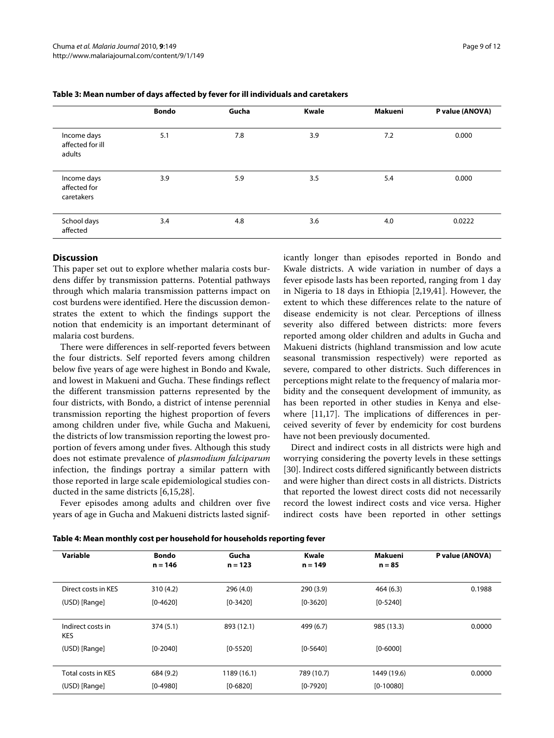|                                           | <b>Bondo</b> | Gucha | <b>Kwale</b> | Makueni | P value (ANOVA) |
|-------------------------------------------|--------------|-------|--------------|---------|-----------------|
| Income days<br>affected for ill<br>adults | 5.1          | 7.8   | 3.9          | 7.2     | 0.000           |
| Income days<br>affected for<br>caretakers | 3.9          | 5.9   | 3.5          | 5.4     | 0.000           |
| School days<br>affected                   | 3.4          | 4.8   | 3.6          | 4.0     | 0.0222          |

## **Table 3: Mean number of days affected by fever for ill individuals and caretakers**

## **Discussion**

This paper set out to explore whether malaria costs burdens differ by transmission patterns. Potential pathways through which malaria transmission patterns impact on cost burdens were identified. Here the discussion demonstrates the extent to which the findings support the notion that endemicity is an important determinant of malaria cost burdens.

There were differences in self-reported fevers between the four districts. Self reported fevers among children below five years of age were highest in Bondo and Kwale, and lowest in Makueni and Gucha. These findings reflect the different transmission patterns represented by the four districts, with Bondo, a district of intense perennial transmission reporting the highest proportion of fevers among children under five, while Gucha and Makueni, the districts of low transmission reporting the lowest proportion of fevers among under fives. Although this study does not estimate prevalence of *plasmodium falciparum* infection, the findings portray a similar pattern with those reported in large scale epidemiological studies conducted in the same districts [[6,](#page-10-2)[15,](#page-10-9)[28\]](#page-11-5).

Fever episodes among adults and children over five years of age in Gucha and Makueni districts lasted significantly longer than episodes reported in Bondo and Kwale districts. A wide variation in number of days a fever episode lasts has been reported, ranging from 1 day in Nigeria to 18 days in Ethiopia [\[2](#page-10-15),[19](#page-10-13),[41](#page-11-15)]. However, the extent to which these differences relate to the nature of disease endemicity is not clear. Perceptions of illness severity also differed between districts: more fevers reported among older children and adults in Gucha and Makueni districts (highland transmission and low acute seasonal transmission respectively) were reported as severe, compared to other districts. Such differences in perceptions might relate to the frequency of malaria morbidity and the consequent development of immunity, as has been reported in other studies in Kenya and elsewhere [[11,](#page-10-8)[17\]](#page-10-10). The implications of differences in perceived severity of fever by endemicity for cost burdens have not been previously documented.

Direct and indirect costs in all districts were high and worrying considering the poverty levels in these settings [[30\]](#page-11-7). Indirect costs differed significantly between districts and were higher than direct costs in all districts. Districts that reported the lowest direct costs did not necessarily record the lowest indirect costs and vice versa. Higher indirect costs have been reported in other settings

| Variable                        | <b>Bondo</b><br>$n = 146$ | Gucha<br>$n = 123$ | Kwale<br>$n = 149$ | Makueni<br>$n = 85$ | P value (ANOVA) |
|---------------------------------|---------------------------|--------------------|--------------------|---------------------|-----------------|
| Direct costs in KES             | 310(4.2)                  | 296(4.0)           | 290(3.9)           | 464(6.3)            | 0.1988          |
| (USD) [Range]                   | $[0 - 4620]$              | $[0-3420]$         | $[0 - 3620]$       | $[0 - 5240]$        |                 |
|                                 |                           |                    |                    |                     |                 |
| Indirect costs in<br><b>KES</b> | 374(5.1)                  | 893 (12.1)         | 499 (6.7)          | 985 (13.3)          | 0.0000          |
| (USD) [Range]                   | $[0-2040]$                | $[0 - 5520]$       | $[0 - 5640]$       | $[0 - 6000]$        |                 |
|                                 |                           |                    |                    |                     |                 |
| Total costs in KES              | 684 (9.2)                 | 1189 (16.1)        | 789 (10.7)         | 1449 (19.6)         | 0.0000          |
| (USD) [Range]                   | $[0 - 4980]$              | $[0 - 6820]$       | $[0 - 7920]$       | $[0-10080]$         |                 |

**Table 4: Mean monthly cost per household for households reporting fever**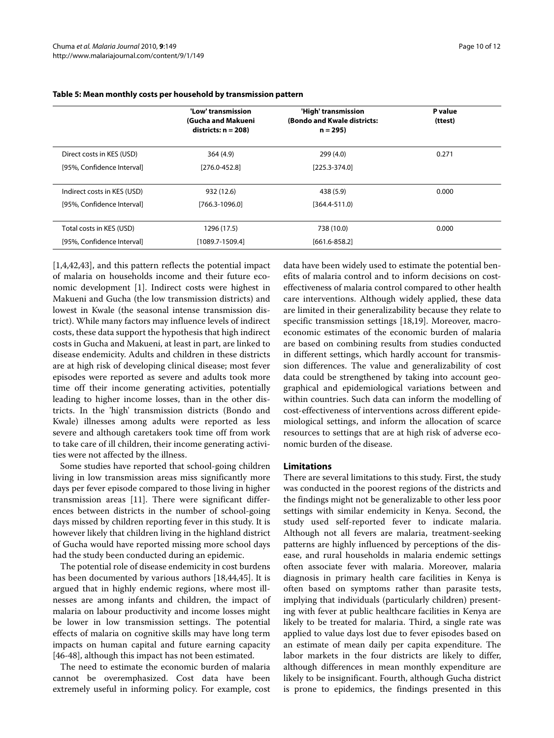|                             | 'Low' transmission<br>(Gucha and Makueni<br>districts: $n = 208$ ) | 'High' transmission<br>(Bondo and Kwale districts:<br>$n = 295$ | P value<br>(ttest) |
|-----------------------------|--------------------------------------------------------------------|-----------------------------------------------------------------|--------------------|
| Direct costs in KES (USD)   | 364(4.9)                                                           | 299(4.0)                                                        | 0.271              |
| [95%, Confidence Interval]  | $[276.0 - 452.8]$                                                  | $[225.3 - 374.0]$                                               |                    |
| Indirect costs in KES (USD) | 932 (12.6)                                                         | 438 (5.9)                                                       | 0.000              |
| [95%, Confidence Interval]  | $[766.3 - 1096.0]$                                                 | $[364.4 - 511.0]$                                               |                    |
| Total costs in KES (USD)    | 1296 (17.5)                                                        | 738 (10.0)                                                      | 0.000              |
| [95%, Confidence Interval]  | [1089.7-1509.4]                                                    | $[661.6 - 858.2]$                                               |                    |

## <span id="page-9-0"></span>**Table 5: Mean monthly costs per household by transmission pattern**

[[1,](#page-10-0)[4](#page-10-16)[,42](#page-11-16)[,43](#page-11-17)], and this pattern reflects the potential impact of malaria on households income and their future economic development [[1\]](#page-10-0). Indirect costs were highest in Makueni and Gucha (the low transmission districts) and lowest in Kwale (the seasonal intense transmission district). While many factors may influence levels of indirect costs, these data support the hypothesis that high indirect costs in Gucha and Makueni, at least in part, are linked to disease endemicity. Adults and children in these districts are at high risk of developing clinical disease; most fever episodes were reported as severe and adults took more time off their income generating activities, potentially leading to higher income losses, than in the other districts. In the 'high' transmission districts (Bondo and Kwale) illnesses among adults were reported as less severe and although caretakers took time off from work to take care of ill children, their income generating activities were not affected by the illness.

Some studies have reported that school-going children living in low transmission areas miss significantly more days per fever episode compared to those living in higher transmission areas [\[11](#page-10-8)]. There were significant differences between districts in the number of school-going days missed by children reporting fever in this study. It is however likely that children living in the highland district of Gucha would have reported missing more school days had the study been conducted during an epidemic.

The potential role of disease endemicity in cost burdens has been documented by various authors [[18](#page-10-12),[44,](#page-11-18)[45\]](#page-11-19). It is argued that in highly endemic regions, where most illnesses are among infants and children, the impact of malaria on labour productivity and income losses might be lower in low transmission settings. The potential effects of malaria on cognitive skills may have long term impacts on human capital and future earning capacity [[46-](#page-11-20)[48](#page-11-21)], although this impact has not been estimated.

The need to estimate the economic burden of malaria cannot be overemphasized. Cost data have been extremely useful in informing policy. For example, cost data have been widely used to estimate the potential benefits of malaria control and to inform decisions on costeffectiveness of malaria control compared to other health care interventions. Although widely applied, these data are limited in their generalizability because they relate to specific transmission settings [[18,](#page-10-12)[19\]](#page-10-13). Moreover, macroeconomic estimates of the economic burden of malaria are based on combining results from studies conducted in different settings, which hardly account for transmission differences. The value and generalizability of cost data could be strengthened by taking into account geographical and epidemiological variations between and within countries. Such data can inform the modelling of cost-effectiveness of interventions across different epidemiological settings, and inform the allocation of scarce resources to settings that are at high risk of adverse economic burden of the disease.

### **Limitations**

There are several limitations to this study. First, the study was conducted in the poorest regions of the districts and the findings might not be generalizable to other less poor settings with similar endemicity in Kenya. Second, the study used self-reported fever to indicate malaria. Although not all fevers are malaria, treatment-seeking patterns are highly influenced by perceptions of the disease, and rural households in malaria endemic settings often associate fever with malaria. Moreover, malaria diagnosis in primary health care facilities in Kenya is often based on symptoms rather than parasite tests, implying that individuals (particularly children) presenting with fever at public healthcare facilities in Kenya are likely to be treated for malaria. Third, a single rate was applied to value days lost due to fever episodes based on an estimate of mean daily per capita expenditure. The labor markets in the four districts are likely to differ, although differences in mean monthly expenditure are likely to be insignificant. Fourth, although Gucha district is prone to epidemics, the findings presented in this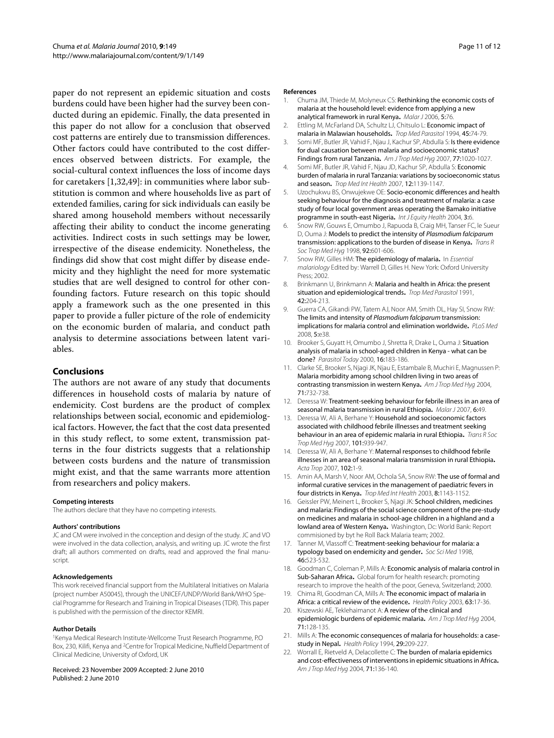paper do not represent an epidemic situation and costs burdens could have been higher had the survey been conducted during an epidemic. Finally, the data presented in this paper do not allow for a conclusion that observed cost patterns are entirely due to transmission differences. Other factors could have contributed to the cost differences observed between districts. For example, the social-cultural context influences the loss of income days for caretakers [\[1](#page-10-0)[,32](#page-11-9),[49](#page-11-22)]: in communities where labor substitution is common and where households live as part of extended families, caring for sick individuals can easily be shared among household members without necessarily affecting their ability to conduct the income generating activities. Indirect costs in such settings may be lower, irrespective of the disease endemicity. Nonetheless, the findings did show that cost might differ by disease endemicity and they highlight the need for more systematic studies that are well designed to control for other confounding factors. Future research on this topic should apply a framework such as the one presented in this paper to provide a fuller picture of the role of endemicity on the economic burden of malaria, and conduct path analysis to determine associations between latent variables.

## **Conclusions**

The authors are not aware of any study that documents differences in household costs of malaria by nature of endemicity. Cost burdens are the product of complex relationships between social, economic and epidemiological factors. However, the fact that the cost data presented in this study reflect, to some extent, transmission patterns in the four districts suggests that a relationship between costs burdens and the nature of transmission might exist, and that the same warrants more attention from researchers and policy makers.

#### **Competing interests**

The authors declare that they have no competing interests.

#### **Authors' contributions**

JC and CM were involved in the conception and design of the study. JC and VO were involved in the data collection, analysis, and writing up. JC wrote the first draft; all authors commented on drafts, read and approved the final manuscript.

#### **Acknowledgements**

This work received financial support from the Multilateral Initiatives on Malaria (project number A50045), through the UNICEF/UNDP/World Bank/WHO Special Programme for Research and Training in Tropical Diseases (TDR). This paper is published with the permission of the director KEMRI.

#### **Author Details**

1Kenya Medical Research Institute-Wellcome Trust Research Programme, P.O Box, 230, Kilifi, Kenya and 2Centre for Tropical Medicine, Nuffield Department of Clinical Medicine, University of Oxford, UK

Received: 23 November 2009 Accepted: 2 June 2010 Am J Trop Med Hyg 2004, 71:136-140. Published: 2 June 2010

#### **References**

- <span id="page-10-0"></span>1. Chuma JM, Thiede M, Molyneux CS: Rethinking the economic costs of malaria at the household level: evidence from applying a new analytical framework in rural Kenya**.** Malar J 2006, 5:76.
- <span id="page-10-15"></span>2. Ettling M, McFarland DA, Schultz LJ, Chitsulo L: Economic impact of malaria in Malawian households**.** Trop Med Parasitol 1994, 45:74-79.
- 3. Somi MF, Butler JR, Vahid F, Njau J, Kachur SP, Abdulla S: Is there evidence for dual causation between malaria and socioeconomic status? Findings from rural Tanzania**.** Am J Trop Med Hyg 2007, 77:1020-1027.
- <span id="page-10-16"></span>4. Somi MF, Butler JR, Vahid F, Njau JD, Kachur SP, Abdulla S: Economic burden of malaria in rural Tanzania: variations by socioeconomic status and season**.** Trop Med Int Health 2007, 12:1139-1147.
- <span id="page-10-1"></span>5. Uzochukwu BS, Onwujekwe OE: Socio-economic differences and health seeking behaviour for the diagnosis and treatment of malaria: a case study of four local government areas operating the Bamako initiative programme in south-east Nigeria**.** Int J Equity Health 2004, 3:6.
- <span id="page-10-2"></span>6. Snow RW, Gouws E, Omumbo J, Rapuoda B, Craig MH, Tanser FC, le Sueur D, Ouma J: Models to predict the intensity of Plasmodium falciparum transmission: applications to the burden of disease in Kenya**.** Trans R Soc Trop Med Hyg 1998, 92:601-606.
- <span id="page-10-3"></span>7. Snow RW, Gilles HM: The epidemiology of malaria**.** In Essential malariology Edited by: Warrell D, Gilles H. New York: Oxford University Press; 2002.
- <span id="page-10-4"></span>8. Brinkmann U, Brinkmann A: Malaria and health in Africa: the present situation and epidemiological trends**.** Trop Med Parasitol 1991, 42:204-213.
- <span id="page-10-5"></span>9. Guerra CA, Gikandi PW, Tatem AJ, Noor AM, Smith DL, Hay SI, Snow RW: The limits and intensity of Plasmodium falciparum transmission: implications for malaria control and elimination worldwide**.** PLoS Med 2008, 5:e38.
- <span id="page-10-6"></span>10. Brooker S, Guyatt H, Omumbo J, Shretta R, Drake L, Ouma J: Situation analysis of malaria in school-aged children in Kenya - what can be done? Parasitol Today 2000, 16:183-186.
- <span id="page-10-8"></span>11. Clarke SE, Brooker S, Njagi JK, Njau E, Estambale B, Muchiri E, Magnussen P: Malaria morbidity among school children living in two areas of contrasting transmission in western Kenya**.** Am J Trop Med Hyg 2004, 71:732-738.
- 12. Deressa W: Treatment-seeking behaviour for febrile illness in an area of seasonal malaria transmission in rural Ethiopia**[.](http://www.ncbi.nlm.nih.gov/entrez/query.fcgi?cmd=Retrieve&db=PubMed&dopt=Abstract&list_uids=17462087)** Malar J 2007, 6:49.
- 13. Deressa W, Ali A, Berhane Y: Household and socioeconomic factors associated with childhood febrile illnesses and treatment seeking behaviour in an area of epidemic malaria in rural Ethiopia**[.](http://www.ncbi.nlm.nih.gov/entrez/query.fcgi?cmd=Retrieve&db=PubMed&dopt=Abstract&list_uids=17602716)** Trans R Soc Trop Med Hyg 2007, 101:939-947.
- <span id="page-10-7"></span>14. Deressa W, Ali A, Berhane Y: Maternal responses to childhood febrile illnesses in an area of seasonal malaria transmission in rural Ethiopia**.** Acta Trop 2007 102:1-9
- <span id="page-10-9"></span>15. Amin AA, Marsh V, Noor AM, Ochola SA, Snow RW: The use of formal and informal curative services in the management of paediatric fevers in four districts in Kenya**.** Trop Med Int Health 2003, 8:1143-1152.
- <span id="page-10-11"></span>16. Geissler PW, Meinert L, Brooker S, Njagi JK: School children, medicines and malaria: Findings of the social science component of the pre-study on medicines and malaria in school-age children in a highland and a lowland area of Western Kenya**.** Washington, Dc: World Bank: Report commisioned by byt he Roll Back Malaria team; 2002.
- <span id="page-10-10"></span>17. Tanner M, Vlassoff C: Treatment-seeking behaviour for malaria: a typology based on endemicity and gender**[.](http://www.ncbi.nlm.nih.gov/entrez/query.fcgi?cmd=Retrieve&db=PubMed&dopt=Abstract&list_uids=9460831)** Soc Sci Med 1998, 46:523-532.
- <span id="page-10-12"></span>18. Goodman C, Coleman P, Mills A: Economic analysis of malaria control in Sub-Saharan Africa**.** Global forum for health research: promoting research to improve the health of the poor, Geneva, Switzerland; 2000.
- <span id="page-10-13"></span>19. Chima RI, Goodman CA, Mills A: The economic impact of malaria in Africa: a critical review of the evidence**.** Health Policy 2003, 63:17-36.
- 20. Kiszewski AE, Teklehaimanot A: A review of the clinical and epidemiologic burdens of epidemic malaria**[.](http://www.ncbi.nlm.nih.gov/entrez/query.fcgi?cmd=Retrieve&db=PubMed&dopt=Abstract&list_uids=15331828)** Am J Trop Med Hyg 2004, 71:128-135.
- 21. Mills A: The economic consequences of malaria for households: a casestudy in Nepal**[.](http://www.ncbi.nlm.nih.gov/entrez/query.fcgi?cmd=Retrieve&db=PubMed&dopt=Abstract&list_uids=10138725)** Health Policy 1994, 29:209-227.
- <span id="page-10-14"></span>22. Worrall E, Rietveld A, Delacollette C: The burden of malaria epidemics and cost-effectiveness of interventions in epidemic situations in Africa**.**